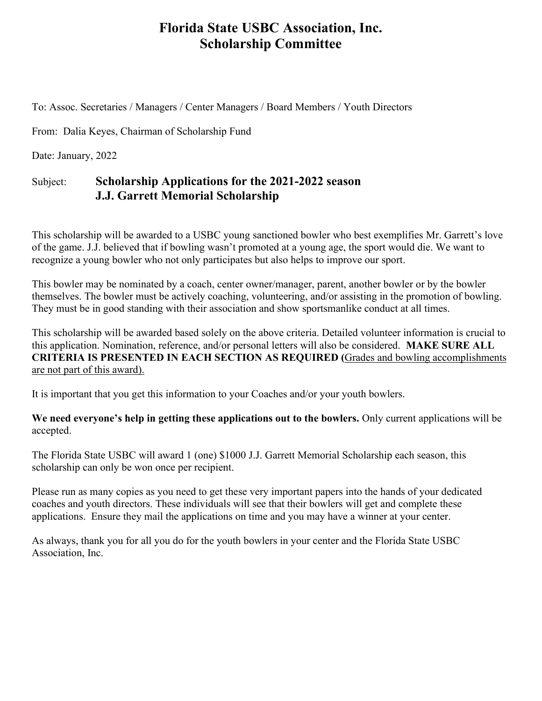# **Florida State USBC Association, Inc. Scholarship Committee**

To: Assoc. Secretaries / Managers / Center Managers / Board Members / Youth Directors

From: Dalia Keyes, Chairman of Scholarship Fund

Date: January, 2022

# Subject: **Scholarship Applications for the 2021-2022 season J.J. Garrett Memorial Scholarship**

This scholarship will be awarded to a USBC young sanctioned bowler who best exemplifies Mr. Garrett's love of the game. J.J. believed that if bowling wasn't promoted at a young age, the sport would die. We want to recognize a young bowler who not only participates but also helps to improve our sport.

This bowler may be nominated by a coach, center owner/manager, parent, another bowler or by the bowler themselves. The bowler must be actively coaching, volunteering, and/or assisting in the promotion of bowling. They must be in good standing with their association and show sportsmanlike conduct at all times.

This scholarship will be awarded based solely on the above criteria. Detailed volunteer information is crucial to this application. Nomination, reference, and/or personal letters will also be considered. **MAKE SURE ALL CRITERIA IS PRESENTED IN EACH SECTION AS REQUIRED (**Grades and bowling accomplishments are not part of this award).

It is important that you get this information to your Coaches and/or your youth bowlers.

**We need everyone's help in getting these applications out to the bowlers.** Only current applications will be accepted.

The Florida State USBC will award 1 (one) \$1000 J.J. Garrett Memorial Scholarship each season, this scholarship can only be won once per recipient.

Please run as many copies as you need to get these very important papers into the hands of your dedicated coaches and youth directors. These individuals will see that their bowlers will get and complete these applications. Ensure they mail the applications on time and you may have a winner at your center.

As always, thank you for all you do for the youth bowlers in your center and the Florida State USBC Association, Inc.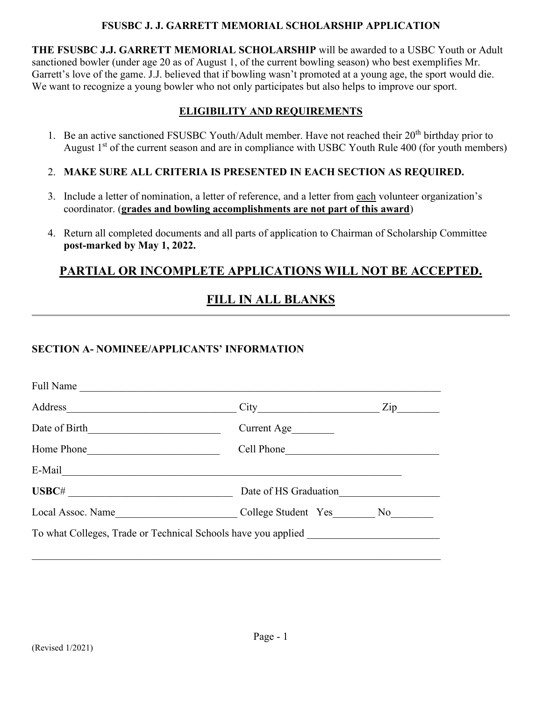#### **FSUSBC J. J. GARRETT MEMORIAL SCHOLARSHIP APPLICATION**

**THE FSUSBC J.J. GARRETT MEMORIAL SCHOLARSHIP** will be awarded to a USBC Youth or Adult sanctioned bowler (under age 20 as of August 1, of the current bowling season) who best exemplifies Mr. Garrett's love of the game. J.J. believed that if bowling wasn't promoted at a young age, the sport would die. We want to recognize a young bowler who not only participates but also helps to improve our sport.

# **ELIGIBILITY AND REQUIREMENTS**

- 1. Be an active sanctioned FSUSBC Youth/Adult member. Have not reached their 20<sup>th</sup> birthday prior to August  $1<sup>st</sup>$  of the current season and are in compliance with USBC Youth Rule 400 (for youth members)
- 2. **MAKE SURE ALL CRITERIA IS PRESENTED IN EACH SECTION AS REQUIRED.**
- 3. Include a letter of nomination, a letter of reference, and a letter from each volunteer organization's coordinator. (**grades and bowling accomplishments are not part of this award**)
- 4. Return all completed documents and all parts of application to Chairman of Scholarship Committee **post-marked by May 1, 2022.**

# **PARTIAL OR INCOMPLETE APPLICATIONS WILL NOT BE ACCEPTED.**

# **FILL IN ALL BLANKS**

# **SECTION A- NOMINEE/APPLICANTS' INFORMATION**

| Full Name                                                     |                       |                                  |
|---------------------------------------------------------------|-----------------------|----------------------------------|
|                                                               |                       | $\mathop{\mathrm{Zip}}\nolimits$ |
| Date of Birth                                                 | Current Age           |                                  |
| Home Phone                                                    | Cell Phone            |                                  |
| E-Mail                                                        |                       |                                  |
| USBC#                                                         | Date of HS Graduation |                                  |
| Local Assoc. Name                                             | College Student Yes   | No                               |
| To what Colleges, Trade or Technical Schools have you applied |                       |                                  |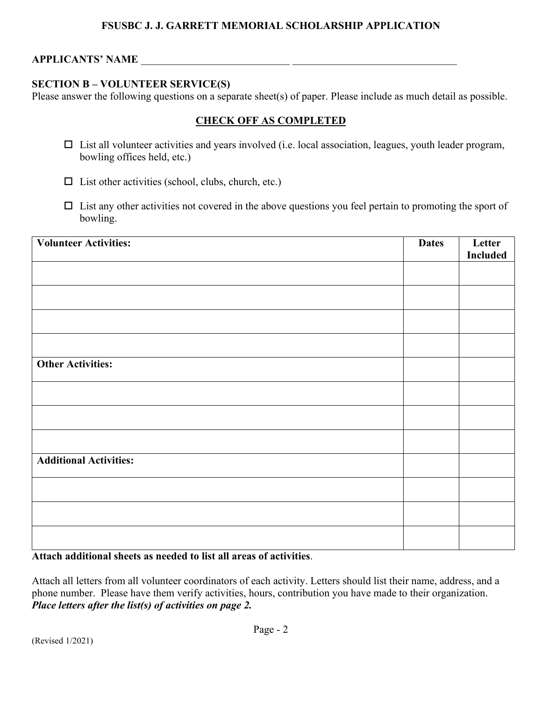### **FSUSBC J. J. GARRETT MEMORIAL SCHOLARSHIP APPLICATION**

### **APPLICANTS' NAME**

#### **SECTION B – VOLUNTEER SERVICE(S)**

Please answer the following questions on a separate sheet(s) of paper. Please include as much detail as possible.

## **CHECK OFF AS COMPLETED**

- $\Box$  List all volunteer activities and years involved (i.e. local association, leagues, youth leader program, bowling offices held, etc.)
- $\square$  List other activities (school, clubs, church, etc.)
- $\Box$  List any other activities not covered in the above questions you feel pertain to promoting the sport of bowling.

| <b>Volunteer Activities:</b>  | <b>Dates</b> | Letter          |
|-------------------------------|--------------|-----------------|
|                               |              | <b>Included</b> |
|                               |              |                 |
|                               |              |                 |
|                               |              |                 |
|                               |              |                 |
| <b>Other Activities:</b>      |              |                 |
|                               |              |                 |
|                               |              |                 |
|                               |              |                 |
| <b>Additional Activities:</b> |              |                 |
|                               |              |                 |
|                               |              |                 |
|                               |              |                 |

**Attach additional sheets as needed to list all areas of activities**.

Attach all letters from all volunteer coordinators of each activity. Letters should list their name, address, and a phone number. Please have them verify activities, hours, contribution you have made to their organization. *Place letters after the list(s) of activities on page 2.*